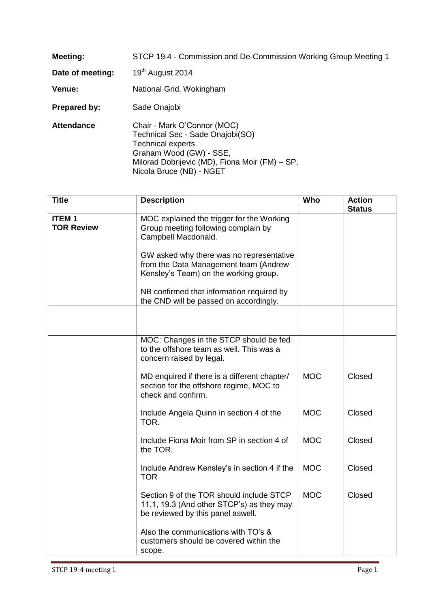| <b>Meeting:</b>   | STCP 19.4 - Commission and De-Commission Working Group Meeting 1                                                                                                                                     |
|-------------------|------------------------------------------------------------------------------------------------------------------------------------------------------------------------------------------------------|
| Date of meeting:  | 19 <sup>th</sup> August 2014                                                                                                                                                                         |
| <b>Venue:</b>     | National Grid, Wokingham                                                                                                                                                                             |
| Prepared by:      | Sade Onajobi                                                                                                                                                                                         |
| <b>Attendance</b> | Chair - Mark O'Connor (MOC)<br>Technical Sec - Sade Onajobi(SO)<br><b>Technical experts</b><br>Graham Wood (GW) - SSE,<br>Milorad Dobrijevic (MD), Fiona Moir (FM) – SP,<br>Nicola Bruce (NB) - NGET |

| <b>Title</b>                      | <b>Description</b>                                                                                                         | Who        | <b>Action</b><br><b>Status</b> |
|-----------------------------------|----------------------------------------------------------------------------------------------------------------------------|------------|--------------------------------|
| <b>ITEM1</b><br><b>TOR Review</b> | MOC explained the trigger for the Working<br>Group meeting following complain by<br>Campbell Macdonald.                    |            |                                |
|                                   | GW asked why there was no representative<br>from the Data Management team (Andrew<br>Kensley's Team) on the working group. |            |                                |
|                                   | NB confirmed that information required by<br>the CND will be passed on accordingly.                                        |            |                                |
|                                   |                                                                                                                            |            |                                |
|                                   | MOC: Changes in the STCP should be fed<br>to the offshore team as well. This was a<br>concern raised by legal.             |            |                                |
|                                   | MD enquired if there is a different chapter/<br>section for the offshore regime, MOC to<br>check and confirm.              | <b>MOC</b> | Closed                         |
|                                   | Include Angela Quinn in section 4 of the<br>TOR.                                                                           | <b>MOC</b> | Closed                         |
|                                   | Include Fiona Moir from SP in section 4 of<br>the TOR.                                                                     | <b>MOC</b> | Closed                         |
|                                   | Include Andrew Kensley's in section 4 if the<br><b>TOR</b>                                                                 | <b>MOC</b> | Closed                         |
|                                   | Section 9 of the TOR should include STCP<br>11.1, 19.3 (And other STCP's) as they may<br>be reviewed by this panel aswell. | <b>MOC</b> | Closed                         |
|                                   | Also the communications with TO's &<br>customers should be covered within the<br>scope.                                    |            |                                |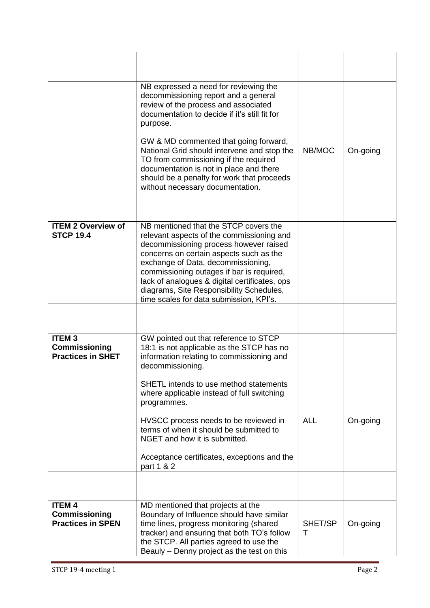|                                                                   | NB expressed a need for reviewing the<br>decommissioning report and a general<br>review of the process and associated<br>documentation to decide if it's still fit for<br>purpose.<br>GW & MD commented that going forward,<br>National Grid should intervene and stop the<br>TO from commissioning if the required<br>documentation is not in place and there                                     | NB/MOC       | On-going |
|-------------------------------------------------------------------|----------------------------------------------------------------------------------------------------------------------------------------------------------------------------------------------------------------------------------------------------------------------------------------------------------------------------------------------------------------------------------------------------|--------------|----------|
|                                                                   | should be a penalty for work that proceeds<br>without necessary documentation.                                                                                                                                                                                                                                                                                                                     |              |          |
|                                                                   |                                                                                                                                                                                                                                                                                                                                                                                                    |              |          |
| <b>ITEM 2 Overview of</b><br><b>STCP 19.4</b>                     | NB mentioned that the STCP covers the<br>relevant aspects of the commissioning and<br>decommissioning process however raised<br>concerns on certain aspects such as the<br>exchange of Data, decommissioning,<br>commissioning outages if bar is required,<br>lack of analogues & digital certificates, ops<br>diagrams, Site Responsibility Schedules,<br>time scales for data submission, KPI's. |              |          |
|                                                                   |                                                                                                                                                                                                                                                                                                                                                                                                    |              |          |
| <b>ITEM3</b><br><b>Commissioning</b><br><b>Practices in SHET</b>  | GW pointed out that reference to STCP<br>18:1 is not applicable as the STCP has no<br>information relating to commissioning and<br>decommissioning.<br>SHETL intends to use method statements                                                                                                                                                                                                      |              |          |
|                                                                   | where applicable instead of full switching<br>programmes.                                                                                                                                                                                                                                                                                                                                          |              |          |
|                                                                   | HVSCC process needs to be reviewed in<br>terms of when it should be submitted to<br>NGET and how it is submitted.<br>Acceptance certificates, exceptions and the                                                                                                                                                                                                                                   | <b>ALL</b>   | On-going |
|                                                                   | part 1 & 2                                                                                                                                                                                                                                                                                                                                                                                         |              |          |
|                                                                   |                                                                                                                                                                                                                                                                                                                                                                                                    |              |          |
| <b>ITEM 4</b><br><b>Commissioning</b><br><b>Practices in SPEN</b> | MD mentioned that projects at the<br>Boundary of Influence should have similar<br>time lines, progress monitoring (shared<br>tracker) and ensuring that both TO's follow<br>the STCP. All parties agreed to use the<br>Beauly - Denny project as the test on this                                                                                                                                  | SHET/SP<br>Τ | On-going |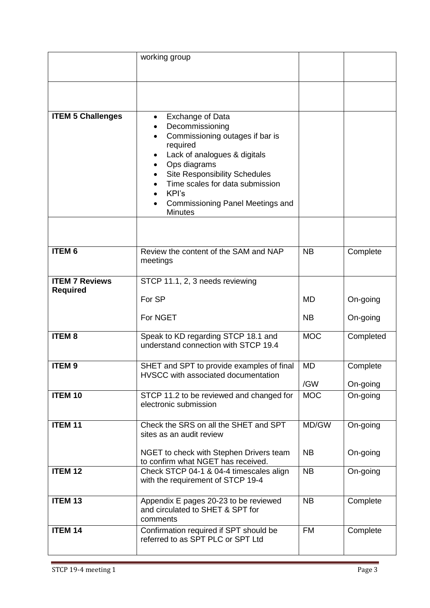|                                          | working group                                                                                                                                                                                                                                                                                                      |            |           |
|------------------------------------------|--------------------------------------------------------------------------------------------------------------------------------------------------------------------------------------------------------------------------------------------------------------------------------------------------------------------|------------|-----------|
|                                          |                                                                                                                                                                                                                                                                                                                    |            |           |
| <b>ITEM 5 Challenges</b>                 | Exchange of Data<br>Decommissioning<br>Commissioning outages if bar is<br>$\bullet$<br>required<br>Lack of analogues & digitals<br>٠<br>Ops diagrams<br><b>Site Responsibility Schedules</b><br>$\bullet$<br>Time scales for data submission<br>KPI's<br><b>Commissioning Panel Meetings and</b><br><b>Minutes</b> |            |           |
|                                          |                                                                                                                                                                                                                                                                                                                    |            |           |
| <b>ITEM 6</b>                            | Review the content of the SAM and NAP<br>meetings                                                                                                                                                                                                                                                                  | <b>NB</b>  | Complete  |
| <b>ITEM 7 Reviews</b><br><b>Required</b> | STCP 11.1, 2, 3 needs reviewing                                                                                                                                                                                                                                                                                    |            |           |
|                                          | For SP                                                                                                                                                                                                                                                                                                             | <b>MD</b>  | On-going  |
|                                          | For NGET                                                                                                                                                                                                                                                                                                           | <b>NB</b>  | On-going  |
| <b>ITEM8</b>                             | Speak to KD regarding STCP 18.1 and<br>understand connection with STCP 19.4                                                                                                                                                                                                                                        | <b>MOC</b> | Completed |
| <b>ITEM9</b>                             | SHET and SPT to provide examples of final                                                                                                                                                                                                                                                                          | <b>MD</b>  | Complete  |
|                                          | HVSCC with associated documentation                                                                                                                                                                                                                                                                                | /GW        | On-going  |
| <b>ITEM 10</b>                           | STCP 11.2 to be reviewed and changed for<br>electronic submission                                                                                                                                                                                                                                                  | <b>MOC</b> | On-going  |
| <b>ITEM 11</b>                           | Check the SRS on all the SHET and SPT<br>sites as an audit review                                                                                                                                                                                                                                                  | MD/GW      | On-going  |
|                                          | NGET to check with Stephen Drivers team<br>to confirm what NGET has received.                                                                                                                                                                                                                                      | <b>NB</b>  | On-going  |
| <b>ITEM 12</b>                           | Check STCP 04-1 & 04-4 timescales align<br>with the requirement of STCP 19-4                                                                                                                                                                                                                                       | <b>NB</b>  | On-going  |
| <b>ITEM 13</b>                           | Appendix E pages 20-23 to be reviewed<br>and circulated to SHET & SPT for<br>comments                                                                                                                                                                                                                              | <b>NB</b>  | Complete  |
| <b>ITEM 14</b>                           | Confirmation required if SPT should be<br>referred to as SPT PLC or SPT Ltd                                                                                                                                                                                                                                        | <b>FM</b>  | Complete  |